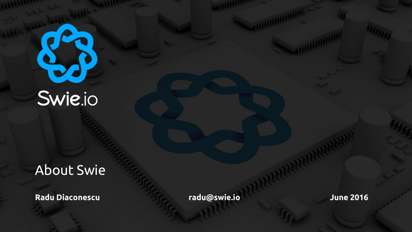# Swie.io

#### About Swie

**Radu Diaconescu radu@swie.io June 2016**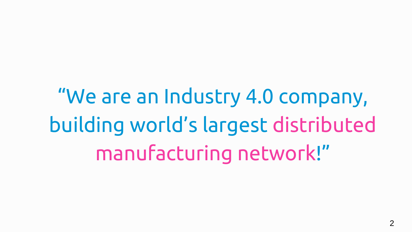"We are an Industry 4.0 company, building world's largest distributed manufacturing network!"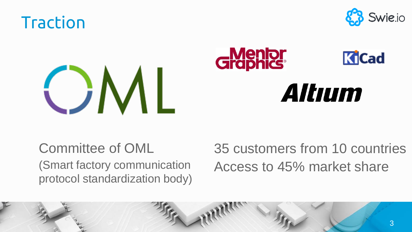





Committee of OML (Smart factory communication protocol standardization body) 35 customers from 10 countries Access to 45% market share

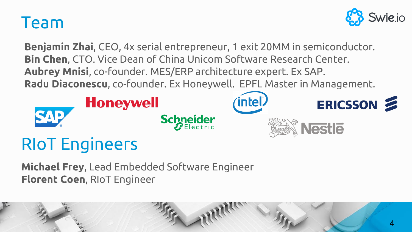### Team



**Benjamin Zhai**, CEO, 4x serial entrepreneur, 1 exit 20MM in semiconductor. **Bin Chen**, CTO. Vice Dean of China Unicom Software Research Center. **Aubrey Mnisi**, co-founder. MES/ERP architecture expert. Ex SAP. **Radu Diaconescu**, co-founder. Ex Honeywell. EPFL Master in Management.



# RIoT Engineers

**Michael Frey**, Lead Embedded Software Engineer **Florent Coen**, RIoT Engineer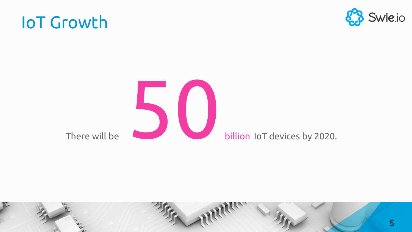billion IoT devices by 2020.

There will be

# IoT Growth

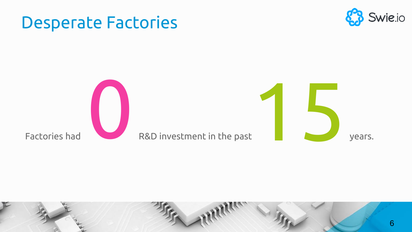

#### 6

#### Desperate Factories

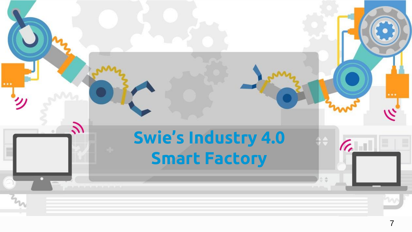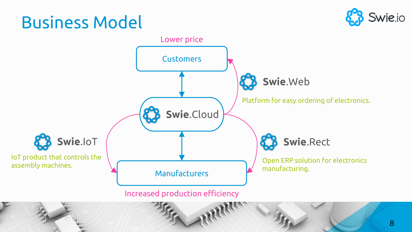# Business Model



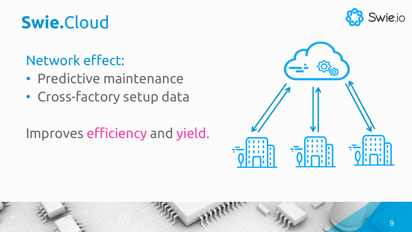# **Swie.**Cloud

### Network effect:

- Predictive maintenance
- Cross-factory setup data

#### Improves efficiency and yield.



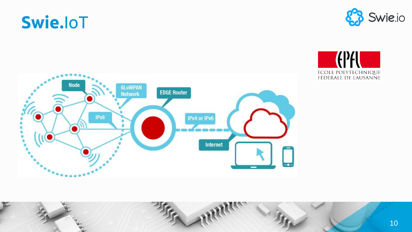# **Swie.**IoT







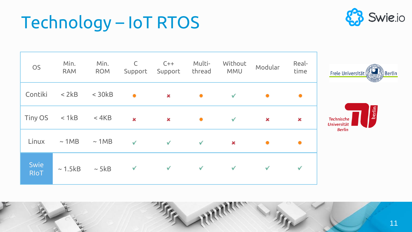# Technology – IoT RTOS



| OS                  | Min.<br><b>RAM</b> | Min.<br><b>ROM</b> | $\mathsf{C}$<br>Support | $C++$<br>Support | Multi-<br>thread | Without<br><b>MMU</b> | Modular | Real-<br>time  | <b>Berli</b><br>Freie Universität                           |
|---------------------|--------------------|--------------------|-------------------------|------------------|------------------|-----------------------|---------|----------------|-------------------------------------------------------------|
| Contiki             | < 2kB              | $<$ 30 $kB$        | $\bullet$               | ×                | $\bullet$        | $\checkmark$          | ۰       | ۰              |                                                             |
| Tiny OS             | < 1kB              | $<$ 4KB            | $\mathbf x$             | ×                | $\bullet$        | $\checkmark$          | ×       | $\pmb{\times}$ | berlin<br><b>Technische</b><br>Universität<br><b>Berlin</b> |
| Linux               | $\sim$ 1MB         | $\sim$ 1MB         | $\checkmark$            | $\checkmark$     | $\checkmark$     | $\pmb{\times}$        | ۰       |                |                                                             |
| Swie<br><b>RIoT</b> | $\sim$ 1.5 kB      | $\sim$ 5kB         | ✓                       | $\checkmark$     | $\checkmark$     | $\checkmark$          | ✓       | ✓              |                                                             |

11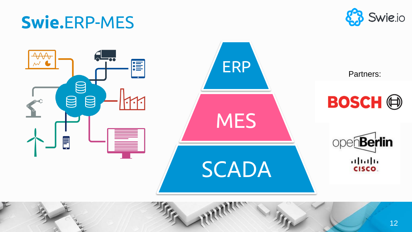# **Swie.**ERP-MES



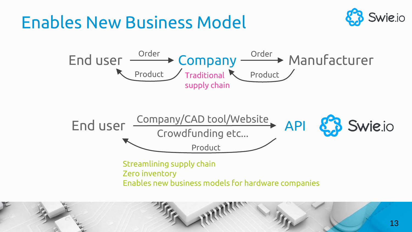## Enables New Business Model





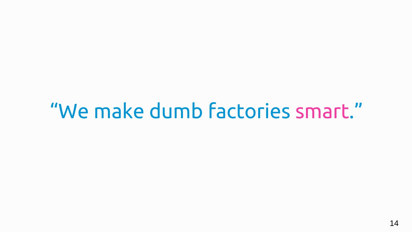# "We make dumb factories smart."